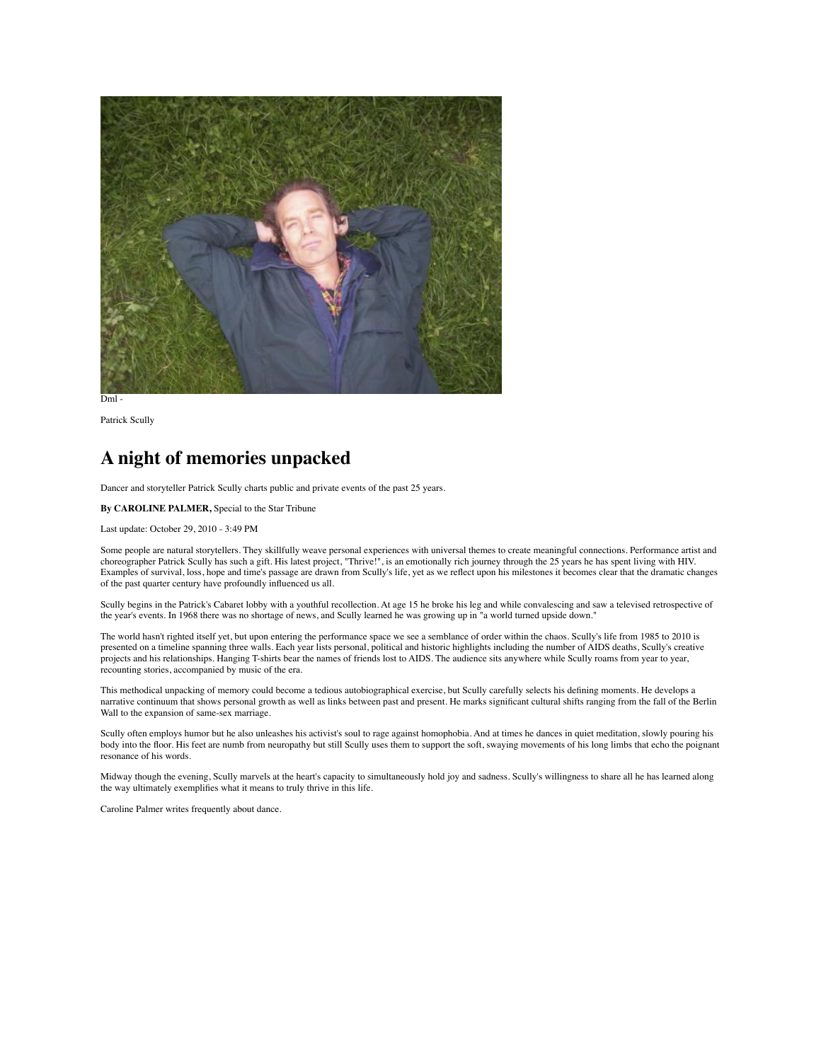

Patrick Scully

## **A night of memories unpacked**

Dancer and storyteller Patrick Scully charts public and private events of the past 25 years.

## **By CAROLINE PALMER,** Special to the Star Tribune

Last update: October 29, 2010 - 3:49 PM

Some people are natural storytellers. They skillfully weave personal experiences with universal themes to create meaningful connections. Performance artist and choreographer Patrick Scully has such a gift. His latest project, "Thrive!", is an emotionally rich journey through the 25 years he has spent living with HIV. Examples of survival, loss, hope and time's passage are drawn from Scully's life, yet as we reflect upon his milestones it becomes clear that the dramatic changes of the past quarter century have profoundly influenced us all.

Scully begins in the Patrick's Cabaret lobby with a youthful recollection. At age 15 he broke his leg and while convalescing and saw a televised retrospective of the year's events. In 1968 there was no shortage of news, and Scully learned he was growing up in "a world turned upside down."

The world hasn't righted itself yet, but upon entering the performance space we see a semblance of order within the chaos. Scully's life from 1985 to 2010 is presented on a timeline spanning three walls. Each year lists personal, political and historic highlights including the number of AIDS deaths, Scully's creative projects and his relationships. Hanging T-shirts bear the names of friends lost to AIDS. The audience sits anywhere while Scully roams from year to year, recounting stories, accompanied by music of the era.

This methodical unpacking of memory could become a tedious autobiographical exercise, but Scully carefully selects his defining moments. He develops a narrative continuum that shows personal growth as well as links between past and present. He marks significant cultural shifts ranging from the fall of the Berlin Wall to the expansion of same-sex marriage.

Scully often employs humor but he also unleashes his activist's soul to rage against homophobia. And at times he dances in quiet meditation, slowly pouring his body into the floor. His feet are numb from neuropathy but still Scully uses them to support the soft, swaying movements of his long limbs that echo the poignant resonance of his words.

Midway though the evening, Scully marvels at the heart's capacity to simultaneously hold joy and sadness. Scully's willingness to share all he has learned along the way ultimately exemplifies what it means to truly thrive in this life.

Caroline Palmer writes frequently about dance.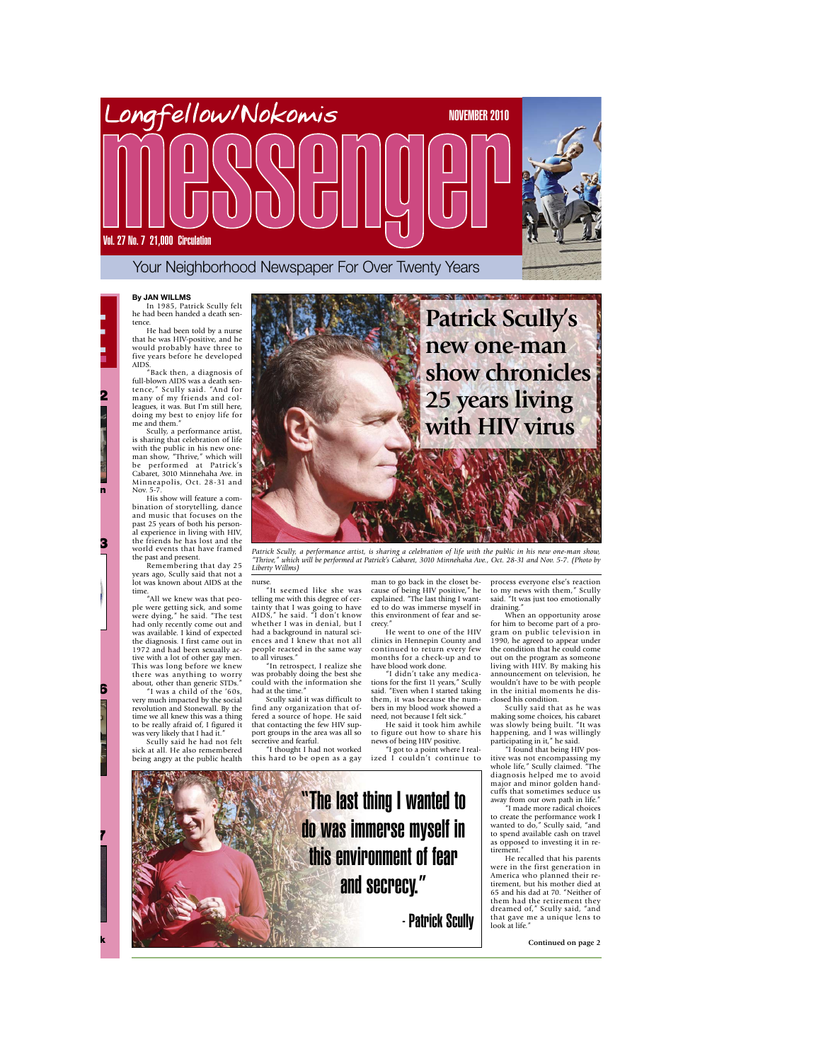

Longfellow Station

News..................3

Feature.............6

INSID E

News..................2

authors new book

Feature............7



## **By J AN WILLMS**

In 1985, Patrick Scully felt he had been handed a death sentence. He had been told by a nurse that he was HIV-positive, and he would probably have three to five years before he developed AIDS.

"Back then, a diagnosis of full-blown AIDS was a death sen-tence," Scully said. "And for many of my friends and col-leagues, it was. But I'm still here, doing my best to enjoy life for me and them." Scully, a performance artist,

is sharing that celebration of life with the public in his new one-man show, "Thrive," which will be performed at Patrick's Cabaret, 3010 Minnehaha Ave. in Minneapolis, Oct. 28-31 and Nov. 5-7. His show will feature a com-

bination of storytelling, dance and music that focuses on the past 25 years of both his personal experience in living with HIV, the friends he has lost and the world events that have framed the past and present.

Remembering that day 25 years ago, Scully said that not a lot was known about AIDS at the

time. "All we knew was that people were getting sick, and some were dying," he said. "The test had only recently come out and was available. I kind of expected the diagnosis. I first came out in 1972 and had been sexually ac-tive with a lot of other gay men. This was long before we knew there was anything to worry

about, other than generic STDs." "I was a child of the '60s, very much impacted by the social revolution and Stonewall. By the time we all knew this was a thing to be really afraid of, I figured it was very likely that I had it."

Scully said he had not felt sick at all. He also remembered being angry at the public health



Patrick Scully, a performance artist, is sharing a celebration of life with the public in his new one-man show, *"Thrive," which will be performed at Patrick's Cabaret, 3010 Minnehaha Ave., Oct. 28-31 and Nov. 5-7. (Photo by Liberty Willms)*

nurse. "It seemed like she was telling me with this degree of certainty that I was going to have AIDS," he said. "I don't know whether I was in denial, but I had a background in natural sci-ences and I knew that not all people reacted in the same way to all viruses." "In retrospect, I realize she

was probably doing the best she could with the information she had at the time."

Scully said it was difficult to find any organization that offered a source of hope. He said that contacting the few HIV support groups in the area was all so secretive and fearful.

"I thought I had not worked this hard to be open as a gay

man to go back in the closet be-cause of being HIV positive," he explained. "The last thing I wanted to do was immerse myself in this environment of fear and secrecy."

,.<br>He went to one of the HIV clinics in Hennepin County and continued to return every few months for a check-up and to have blood work done.

"I didn't take any medica-tions for the first 11 years," Scully said. "Even when I started taking them, it was because the num-bers in my blood work showed a need, not because I felt sick."

He said it took him awhile to figure out how to share his news of being HIV positive.

"I got to a point where I real-ized I couldn't continue to

process everyone else's reaction to my news with them," Scully said. "It was just too emotionally

draining." When an opportunity arose for him to become part of a pro-gram on public television in 1990, he agreed to appear under the condition that he could come out on the program as someone living with HIV. By making his announcement on television, he wouldn't have to be with people in the initial moments he dis-

closed his condition. Scully said that as he was making some choices, his cabaret was slowly being built. "It was happening, and I was willingly participating in it," he said. "I found that being HIV pos-

itive was not encompassing my whole life," Scully claimed. "The diagnosis helped me to avoid major and minor golden hand-cuffs that sometimes seduce us away from our own path in life. "I made more radical choices

to create the performance work I wanted to do," Scully said, "and to spend available cash on travel as opposed to investing it in retirement."

He recalled that his parents were in the first generation in America who planned their re-tirement, but his mother died at 65 and his dad at 70. "Neither of them had the retirement they dreamed of," Scully said, "and that gave me a unique lens to look at life."

"The last thing I wanted to do was immerse myself in this environment of fear and secrecy." - Patrick Scully

**Continued on page 2**